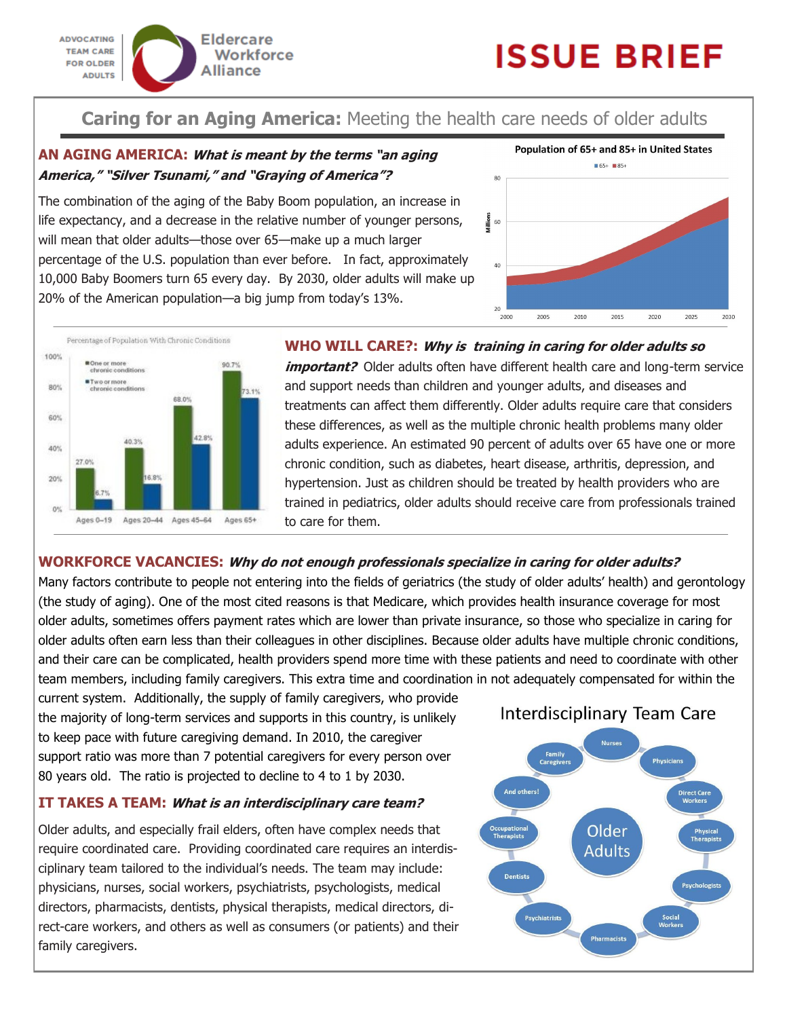

# **ISSUE BRIEF**

# **Caring for an Aging America:** Meeting the health care needs of older adults

# **AN AGING AMERICA: What is meant by the terms "an aging America," "Silver Tsunami," and "Graying of America"?**

The combination of the aging of the Baby Boom population, an increase in life expectancy, and a decrease in the relative number of younger persons, will mean that older adults—those over 65—make up a much larger percentage of the U.S. population than ever before. In fact, approximately 10,000 Baby Boomers turn 65 every day. By 2030, older adults will make up 20% of the American population—a big jump from today's 13%.





# **WHO WILL CARE?: Why is training in caring for older adults so**

*important?* Older adults often have different health care and long-term service and support needs than children and younger adults, and diseases and treatments can affect them differently. Older adults require care that considers these differences, as well as the multiple chronic health problems many older adults experience. An estimated 90 percent of adults over 65 have one or more chronic condition, such as diabetes, heart disease, arthritis, depression, and hypertension. Just as children should be treated by health providers who are trained in pediatrics, older adults should receive care from professionals trained to care for them.

# **WORKFORCE VACANCIES: Why do not enough professionals specialize in caring for older adults?**

Many factors contribute to people not entering into the fields of geriatrics (the study of older adults' health) and gerontology (the study of aging). One of the most cited reasons is that Medicare, which provides health insurance coverage for most older adults, sometimes offers payment rates which are lower than private insurance, so those who specialize in caring for older adults often earn less than their colleagues in other disciplines. Because older adults have multiple chronic conditions, and their care can be complicated, health providers spend more time with these patients and need to coordinate with other team members, including family caregivers. This extra time and coordination in not adequately compensated for within the

current system. Additionally, the supply of family caregivers, who provide the majority of long-term services and supports in this country, is unlikely to keep pace with future caregiving demand. In 2010, the caregiver support ratio was more than 7 potential caregivers for every person over 80 years old. The ratio is projected to decline to 4 to 1 by 2030.

# **IT TAKES A TEAM: What is an interdisciplinary care team?**

Older adults, and especially frail elders, often have complex needs that require coordinated care. Providing coordinated care requires an interdisciplinary team tailored to the individual's needs. The team may include: physicians, nurses, social workers, psychiatrists, psychologists, medical directors, pharmacists, dentists, physical therapists, medical directors, direct-care workers, and others as well as consumers (or patients) and their family caregivers.

# Interdisciplinary Team Care